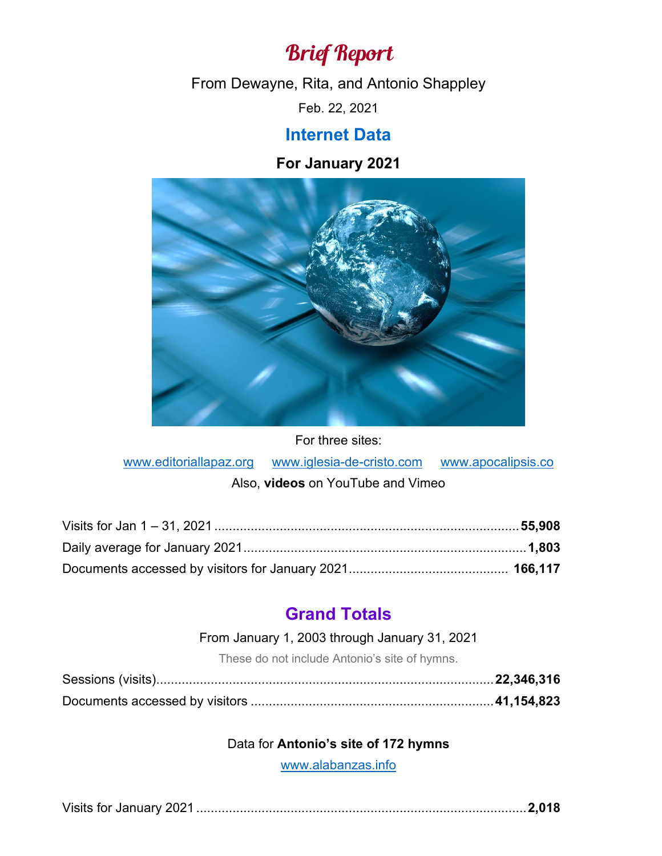# Brief Report

From Dewayne, Rita, and Antonio Shappley

Feb. 22, 2021

# **Internet Data**

## **For January 2021**



For three sites:

[www.editoriallapaz.org](http://www.editoriallapaz.org/) [www.iglesia-de-cristo.com](http://www.iglesia-de-cristo.com/) [www.apocalipsis.co](http://www.apocalipsis.co/)

#### Also, **videos** on YouTube and Vimeo

## **Grand Totals**

From January 1, 2003 through January 31, 2021

These do not include Antonio's site of hymns.

#### Data for **Antonio's site of 172 hymns**

[www.alabanzas.info](http://www.alabanzas.info/)

|--|--|